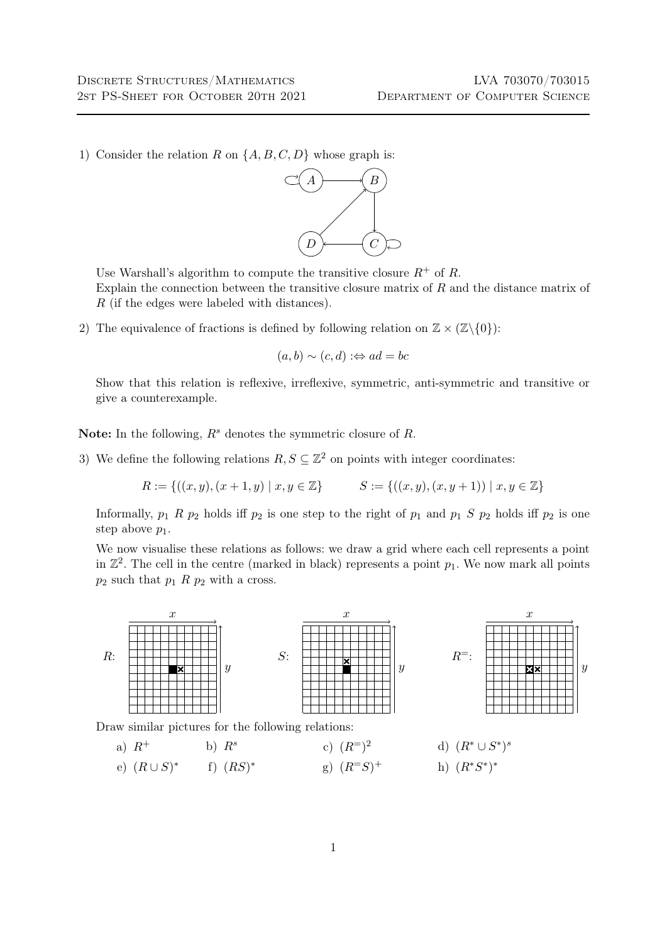1) Consider the relation R on  $\{A, B, C, D\}$  whose graph is:



Use Warshall's algorithm to compute the transitive closure  $R^+$  of R. Explain the connection between the transitive closure matrix of  $R$  and the distance matrix of R (if the edges were labeled with distances).

2) The equivalence of fractions is defined by following relation on  $\mathbb{Z} \times (\mathbb{Z}\setminus\{0\})$ :

$$
(a, b) \sim (c, d) :\Leftrightarrow ad = bc
$$

Show that this relation is reflexive, irreflexive, symmetric, anti-symmetric and transitive or give a counterexample.

Note: In the following,  $R^s$  denotes the symmetric closure of R.

<span id="page-0-0"></span>3) We define the following relations  $R, S \subseteq \mathbb{Z}^2$  on points with integer coordinates:

$$
R := \{ ((x, y), (x + 1, y) \mid x, y \in \mathbb{Z} \} \qquad S := \{ ((x, y), (x, y + 1)) \mid x, y \in \mathbb{Z} \}
$$

Informally,  $p_1$  R  $p_2$  holds iff  $p_2$  is one step to the right of  $p_1$  and  $p_1$  S  $p_2$  holds iff  $p_2$  is one step above  $p_1$ .

We now visualise these relations as follows: we draw a grid where each cell represents a point in  $\mathbb{Z}^2$ . The cell in the centre (marked in black) represents a point  $p_1$ . We now mark all points  $p_2$  such that  $p_1$  R  $p_2$  with a cross.